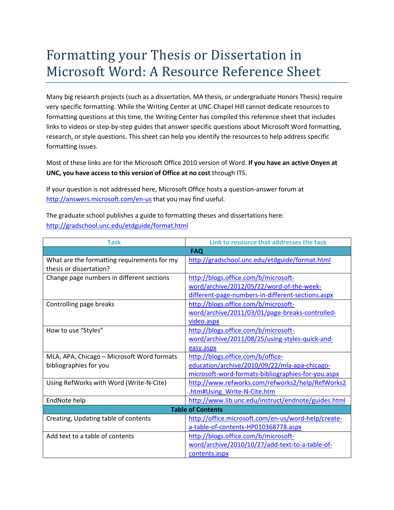## Formatting your Thesis or Dissertation in Microsoft Word: A Resource Reference Sheet

Many big research projects (such as a dissertation, MA thesis, or undergraduate Honors Thesis) require very specific formatting. While the Writing Center at UNC-Chapel Hill cannot dedicate resources to formatting questions at this time, the Writing Center has compiled this reference sheet that includes links to videos or step-by-step guides that answer specific questions about Microsoft Word formatting, research, or style questions. This sheet can help you identify the resources to help address specific formatting issues.

Most of these links are for the Microsoft Office 2010 version of Word. **If you have an active Onyen at UNC, you have access to this version of Office at no cost** through ITS.

If your question is not addressed here, Microsoft Office hosts a question-answer forum at <http://answers.microsoft.com/en-us> that you may find useful.

The graduate school publishes a guide to formatting theses and dissertations here: <http://gradschool.unc.edu/etdguide/format.html>

| Task                                        | Link to resource that addresses the task            |
|---------------------------------------------|-----------------------------------------------------|
| <b>FAQ</b>                                  |                                                     |
| What are the formatting requirements for my | http://gradschool.unc.edu/etdguide/format.html      |
| thesis or dissertation?                     |                                                     |
| Change page numbers in different sections   | http://blogs.office.com/b/microsoft-                |
|                                             | word/archive/2012/05/22/word-of-the-week-           |
|                                             | different-page-numbers-in-different-sections.aspx   |
| Controlling page breaks                     | http://blogs.office.com/b/microsoft-                |
|                                             | word/archive/2011/03/01/page-breaks-controlled-     |
|                                             | video.aspx                                          |
| How to use "Styles"                         | http://blogs.office.com/b/microsoft-                |
|                                             | word/archive/2011/08/25/using-styles-quick-and-     |
|                                             | easy.aspx                                           |
| MLA, APA, Chicago - Microsoft Word formats  | http://blogs.office.com/b/office-                   |
| bibliographies for you                      | education/archive/2010/09/22/mla-apa-chicago-       |
|                                             | microsoft-word-formats-bibliographies-for-you.aspx  |
| Using RefWorks with Word (Write-N-Cite)     | http://www.refworks.com/refworks2/help/RefWorks2    |
|                                             | .htm#Using Write-N-Cite.htm                         |
| EndNote help                                | http://www.lib.unc.edu/instruct/endnote/guides.html |
| <b>Table of Contents</b>                    |                                                     |
| Creating, Updating table of contents        | http://office.microsoft.com/en-us/word-help/create- |
|                                             | a-table-of-contents-HP010368778.aspx                |
| Add text to a table of contents             | http://blogs.office.com/b/microsoft-                |
|                                             | word/archive/2010/10/27/add-text-to-a-table-of-     |
|                                             | contents.aspx                                       |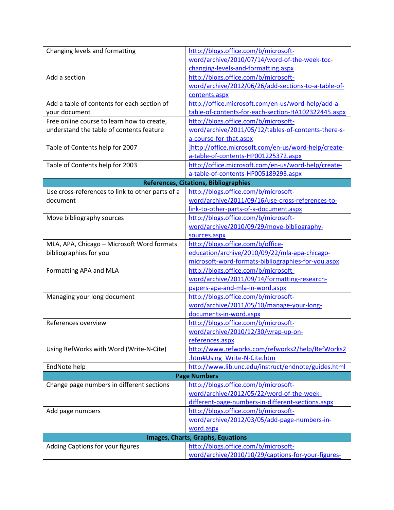| Changing levels and formatting                   | http://blogs.office.com/b/microsoft-                 |  |
|--------------------------------------------------|------------------------------------------------------|--|
|                                                  | word/archive/2010/07/14/word-of-the-week-toc-        |  |
|                                                  | changing-levels-and-formatting.aspx                  |  |
| Add a section                                    | http://blogs.office.com/b/microsoft-                 |  |
|                                                  | word/archive/2012/06/26/add-sections-to-a-table-of-  |  |
|                                                  | contents.aspx                                        |  |
| Add a table of contents for each section of      | http://office.microsoft.com/en-us/word-help/add-a-   |  |
| your document                                    | table-of-contents-for-each-section-HA102322445.aspx  |  |
| Free online course to learn how to create,       | http://blogs.office.com/b/microsoft-                 |  |
| understand the table of contents feature         | word/archive/2011/05/12/tables-of-contents-there-s-  |  |
|                                                  | a-course-for-that.aspx                               |  |
| Table of Contents help for 2007                  | ]http://office.microsoft.com/en-us/word-help/create- |  |
|                                                  | a-table-of-contents-HP001225372.aspx                 |  |
| Table of Contents help for 2003                  | http://office.microsoft.com/en-us/word-help/create-  |  |
|                                                  | a-table-of-contents-HP005189293.aspx                 |  |
| <b>References, Citations, Bibliographies</b>     |                                                      |  |
| Use cross-references to link to other parts of a | http://blogs.office.com/b/microsoft-                 |  |
| document                                         | word/archive/2011/09/16/use-cross-references-to-     |  |
|                                                  | link-to-other-parts-of-a-document.aspx               |  |
| Move bibliography sources                        | http://blogs.office.com/b/microsoft-                 |  |
|                                                  | word/archive/2010/09/29/move-bibliography-           |  |
|                                                  | sources.aspx                                         |  |
| MLA, APA, Chicago - Microsoft Word formats       | http://blogs.office.com/b/office-                    |  |
| bibliographies for you                           | education/archive/2010/09/22/mla-apa-chicago-        |  |
|                                                  | microsoft-word-formats-bibliographies-for-you.aspx   |  |
| Formatting APA and MLA                           | http://blogs.office.com/b/microsoft-                 |  |
|                                                  | word/archive/2011/09/14/formatting-research-         |  |
|                                                  | papers-apa-and-mla-in-word.aspx                      |  |
| Managing your long document                      | http://blogs.office.com/b/microsoft-                 |  |
|                                                  | word/archive/2011/05/10/manage-your-long-            |  |
|                                                  | documents-in-word.aspx                               |  |
| References overview                              | http://blogs.office.com/b/microsoft-                 |  |
|                                                  | word/archive/2010/12/30/wrap-up-on-                  |  |
|                                                  | references.aspx                                      |  |
| Using RefWorks with Word (Write-N-Cite)          | http://www.refworks.com/refworks2/help/RefWorks2     |  |
|                                                  | .htm#Using Write-N-Cite.htm                          |  |
| EndNote help                                     | http://www.lib.unc.edu/instruct/endnote/guides.html  |  |
| <b>Page Numbers</b>                              |                                                      |  |
| Change page numbers in different sections        | http://blogs.office.com/b/microsoft-                 |  |
|                                                  | word/archive/2012/05/22/word-of-the-week-            |  |
|                                                  | different-page-numbers-in-different-sections.aspx    |  |
| Add page numbers                                 | http://blogs.office.com/b/microsoft-                 |  |
|                                                  | word/archive/2012/03/05/add-page-numbers-in-         |  |
|                                                  | word.aspx                                            |  |
| <b>Images, Charts, Graphs, Equations</b>         |                                                      |  |
| Adding Captions for your figures                 | http://blogs.office.com/b/microsoft-                 |  |
|                                                  | word/archive/2010/10/29/captions-for-your-figures-   |  |